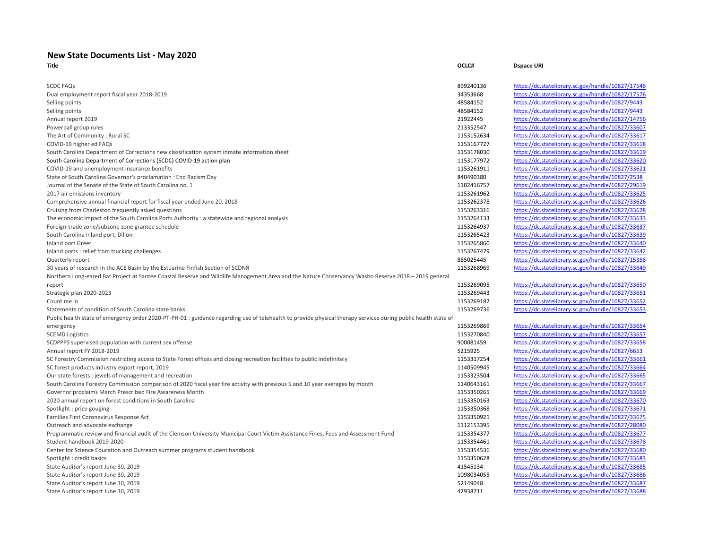## **New State Documents List - May 2020**

| <b>SCDC FAQs</b>                                                                                                                                               | 899240136  | https://dc.statelibrary.sc.gov/handle/10827/17546                                                     |
|----------------------------------------------------------------------------------------------------------------------------------------------------------------|------------|-------------------------------------------------------------------------------------------------------|
| Dual employment report fiscal year 2018-2019                                                                                                                   | 34353668   | https://dc.statelibrary.sc.gov/handle/10827/17576                                                     |
| Selling points                                                                                                                                                 | 48584152   | https://dc.statelibrary.sc.gov/handle/10827/9443                                                      |
| Selling points                                                                                                                                                 | 48584152   | https://dc.statelibrary.sc.gov/handle/10827/9443                                                      |
| Annual report 2019                                                                                                                                             | 21922445   | https://dc.statelibrary.sc.gov/handle/10827/14756                                                     |
| Powerball group rules                                                                                                                                          | 213352547  | https://dc.statelibrary.sc.gov/handle/10827/33607                                                     |
| The Art of Community: Rural SC                                                                                                                                 | 1153152634 | https://dc.statelibrary.sc.gov/handle/10827/33617                                                     |
| COVID-19 higher ed FAQs                                                                                                                                        | 1153167727 | https://dc.statelibrary.sc.gov/handle/10827/33618                                                     |
| South Carolina Department of Corrections new classification system inmate information sheet                                                                    | 1153178030 | https://dc.statelibrary.sc.gov/handle/10827/33619                                                     |
| South Carolina Department of Corrections (SCDC) COVID-19 action plan                                                                                           | 1153177972 | https://dc.statelibrary.sc.gov/handle/10827/33620                                                     |
| COVID-19 and unemployment insurance benefits                                                                                                                   | 1153261911 | https://dc.statelibrary.sc.gov/handle/10827/33621                                                     |
| State of South Carolina Governor's proclamation : End Racism Day                                                                                               | 840490380  | https://dc.statelibrary.sc.gov/handle/10827/2538                                                      |
| Journal of the Senate of the State of South Carolina no. 1                                                                                                     | 1102416757 | https://dc.statelibrary.sc.gov/handle/10827/29619                                                     |
| 2017 air emissions inventory                                                                                                                                   | 1153261962 | https://dc.statelibrary.sc.gov/handle/10827/33625                                                     |
| Comprehensive annual financial report for fiscal year ended June 20, 2018                                                                                      | 1153262378 | https://dc.statelibrary.sc.gov/handle/10827/33626                                                     |
| Cruising from Charleston frequently asked questions                                                                                                            | 1153263316 | https://dc.statelibrary.sc.gov/handle/10827/33628                                                     |
| The economic impact of the South Carolina Ports Authority : a statewide and regional analysis                                                                  | 1153264133 | https://dc.statelibrary.sc.gov/handle/10827/33633                                                     |
| Foreign-trade zone/subzone zone grantee schedule                                                                                                               | 1153264937 | https://dc.statelibrary.sc.gov/handle/10827/33637                                                     |
| South Carolina inland port, Dillon                                                                                                                             | 1153265423 | https://dc.statelibrary.sc.gov/handle/10827/33639                                                     |
| Inland port Greer                                                                                                                                              | 1153265860 | https://dc.statelibrary.sc.gov/handle/10827/33640                                                     |
| Inland ports: relief from trucking challenges                                                                                                                  | 1153267479 | https://dc.statelibrary.sc.gov/handle/10827/33642                                                     |
| Quarterly report                                                                                                                                               | 885025445  | https://dc.statelibrary.sc.gov/handle/10827/15358                                                     |
| 30 years of research in the ACE Basin by the Estuarine Finfish Section of SCDNR                                                                                | 1153268969 | https://dc.statelibrary.sc.gov/handle/10827/33649                                                     |
| Northern Long-eared Bat Project at Santee Coastal Reserve and Wildlife Management Area and the Nature Conservancy Washo Reserve 2018 - 2019 general            |            |                                                                                                       |
|                                                                                                                                                                | 1153269095 | https://dc.statelibrary.sc.gov/handle/10827/33650                                                     |
| report                                                                                                                                                         | 1153269443 | https://dc.statelibrary.sc.gov/handle/10827/33651                                                     |
| Strategic plan 2020-2023<br>Count me in                                                                                                                        | 1153269182 | https://dc.statelibrary.sc.gov/handle/10827/33652                                                     |
| Statements of condition of South Carolina state banks                                                                                                          | 1153269736 | https://dc.statelibrary.sc.gov/handle/10827/33653                                                     |
|                                                                                                                                                                |            |                                                                                                       |
| Public health state of emergency order 2020-PT-PH-01 : guidance regarding use of telehealth to provide physical therapy services during public health state of |            |                                                                                                       |
| emergency                                                                                                                                                      | 1153269869 | https://dc.statelibrary.sc.gov/handle/10827/33654                                                     |
| <b>SCEMD Logistics</b>                                                                                                                                         | 1153270840 | https://dc.statelibrary.sc.gov/handle/10827/33657                                                     |
| SCDPPPS supervised population with current sex offense                                                                                                         | 900081459  | https://dc.statelibrary.sc.gov/handle/10827/33658<br>https://dc.statelibrary.sc.gov/handle/10827/6653 |
| Annual report FY 2018-2019                                                                                                                                     | 5215925    |                                                                                                       |
| SC Forestry Commission restricting access to State Forest offices and closing recreation facilities to public indefinitely                                     | 1153317254 | https://dc.statelibrary.sc.gov/handle/10827/33661                                                     |
| SC forest products industry export report, 2019                                                                                                                | 1140509945 | https://dc.statelibrary.sc.gov/handle/10827/33664                                                     |
| Our state forests : jewels of management and recreation                                                                                                        | 1153323504 | https://dc.statelibrary.sc.gov/handle/10827/33665                                                     |
| South Carolina Forestry Commission comparison of 2020 fiscal year fire activity with previous 5 and 10 year averages by month                                  | 1140643161 | https://dc.statelibrary.sc.gov/handle/10827/33667                                                     |
| Governor proclaims March Prescribed Fire Awareness Month                                                                                                       | 1153350265 | https://dc.statelibrary.sc.gov/handle/10827/33669                                                     |
| 2020 annual report on forest conditions in South Carolina                                                                                                      | 1153350163 | https://dc.statelibrary.sc.gov/handle/10827/33670                                                     |
| Spotlight : price gouging                                                                                                                                      | 1153350368 | https://dc.statelibrary.sc.gov/handle/10827/33671                                                     |
| Families First Coronavirus Response Act                                                                                                                        | 1153350921 | https://dc.statelibrary.sc.gov/handle/10827/33675                                                     |
| Outreach and advocate exchange                                                                                                                                 | 1112153395 | https://dc.statelibrary.sc.gov/handle/10827/28080                                                     |
| Programmatic review and financial audit of the Clemson University Municipal Court Victim Assistance Fines, Fees and Assessment Fund                            | 1153354377 | https://dc.statelibrary.sc.gov/handle/10827/33677                                                     |
| Student handbook 2019-2020                                                                                                                                     | 1153354461 | https://dc.statelibrary.sc.gov/handle/10827/33678                                                     |
| Center for Science Education and Outreach summer programs student handbook                                                                                     | 1153354536 | https://dc.statelibrary.sc.gov/handle/10827/33680                                                     |
| Spotlight: credit basics                                                                                                                                       | 1153350628 | https://dc.statelibrary.sc.gov/handle/10827/33683                                                     |
| State Auditor's report June 30, 2019                                                                                                                           | 41545134   | https://dc.statelibrary.sc.gov/handle/10827/33685                                                     |
| State Auditor's report June 30, 2019                                                                                                                           | 1098034055 | https://dc.statelibrary.sc.gov/handle/10827/33686                                                     |
| State Auditor's report June 30, 2019                                                                                                                           | 52149048   | https://dc.statelibrary.sc.gov/handle/10827/33687                                                     |

**Title OCLC# Dspace URI**

9240136 <https://dc.statelibrary.sc.gov/handle/10827/17546> Dual employment report fiscal year 2018-2019 34353668 <https://dc.statelibrary.sc.gov/handle/10827/17576> Selling points 48584152 <https://dc.statelibrary.sc.gov/handle/10827/9443> 584152 <https://dc.statelibrary.sc.gov/handle/10827/9443> and *<https://dc.statelibrary.sc.gov/handle/10827/14756>* Powerball group rules 213352547 <https://dc.statelibrary.sc.gov/handle/10827/33607> 53152634 <https://dc.statelibrary.sc.gov/handle/10827/33617> 53167727 <https://dc.statelibrary.sc.gov/handle/10827/33618> South Carolina Corrections net Corrections new classifications new classification system in the sheet 1153178030 <https://dc.statelibrary.sc.gov/handle/10827/33619> South Carolina Department of Corrections (School and 1153177972 <https://dc.statelibrary.sc.gov/handle/10827/33620> ECOVID-1911 <https://dc.statelibrary.sc.gov/handle/10827/33621> State of South Carolina Governor's proclamation : End Racism Day 840490380 <https://dc.statelibrary.sc.gov/handle/10827/2538> Doct the Senate of the State of State of State of the State of the State of the State of State of State of the S 5201962 <https://dc.statelibrary.sc.gov/handle/10827/33625> Ecomprehensive and financial report for financial report for financial report for financial statelibrary.sc.gov/handle/10827/33626 Cruising from Charleston frequently asked questions 1153263316 <https://dc.statelibrary.sc.gov/handle/10827/33628> The Economic impact of the South Carolina Ports Authority in Sanda Ports Authority in Sanda 2013 53264937 <https://dc.statelibrary.sc.gov/handle/10827/33637> 53265423 <https://dc.statelibrary.sc.gov/handle/10827/33639> Inland port Greer 1153265860 <https://dc.statelibrary.sc.gov/handle/10827/33640> Inland ports : relief from trucking challenges 1153267479 <https://dc.statelibrary.sc.gov/handle/10827/33642> 53268969 <https://dc.statelibrary.sc.gov/handle/10827/33649>

53269869 <https://dc.statelibrary.sc.gov/handle/10827/33654> 53270840 <https://dc.statelibrary.sc.gov/handle/10827/33657> SCDPPPS supervised population with current sex offense 900081459 <https://dc.statelibrary.sc.gov/handle/10827/33658> 15925 <https://dc.statelibrary.sc.gov/handle/10827/6653> SC Forest Commission restriction restriction in the State Forest officer and closing recreation facilities to p SC forest products industry export report, 2019 1140509945 <https://dc.statelibrary.sc.gov/handle/10827/33664> Our state forests : jewels of management and recreation 1153323504 <https://dc.statelibrary.sc.gov/handle/10827/33665> South Carolina Forestry Commission comparison of 2020 fiscal year fire activity with previous 5 and 10 year averages by month 1140643161 <https://dc.statelibrary.sc.gov/handle/10827/33667> 53350265 <https://dc.statelibrary.sc.gov/handle/10827/33669> 2020 annual report on forest conditions in the south care in South Carolina 115350163 <https://dc.statelibrary.sc.gov/handle/10827/33670> 53350368 <https://dc.statelibrary.sc.gov/handle/10827/33671> Families First Coronavirus Response Act 10827/33675 Outreach and advocate exchange 1112153395 <https://dc.statelibrary.sc.gov/handle/10827/28080> Programmatic review and financial audit of the Cause of the Court Victim Assessment Fund 1153577 <https://dc.statelibrary.sc.gov/handle/10827/33677> 53354461 <https://dc.statelibrary.sc.gov/handle/10827/33678> Education and Outreach summer programs student handbook 1153556 <https://dc.statelibrary.sc.gov/handle/10827/33680> 53350628 <https://dc.statelibrary.sc.gov/handle/10827/33683> 545134 <https://dc.statelibrary.sc.gov/handle/10827/33685> State Auditor's report June 30, 2019 1098034055 <https://dc.statelibrary.sc.gov/handle/10827/33686> auditory.com/<https://dc.statelibrary.sc.gov/handle/10827/33687> State Auditor's report June 30, 2019 **Auditor**'s report June 30, 2019 **Auditor**'s report June 30, 2019 **Auditor**'s report June 30, 2019 **Auditor's report June 30, 2019**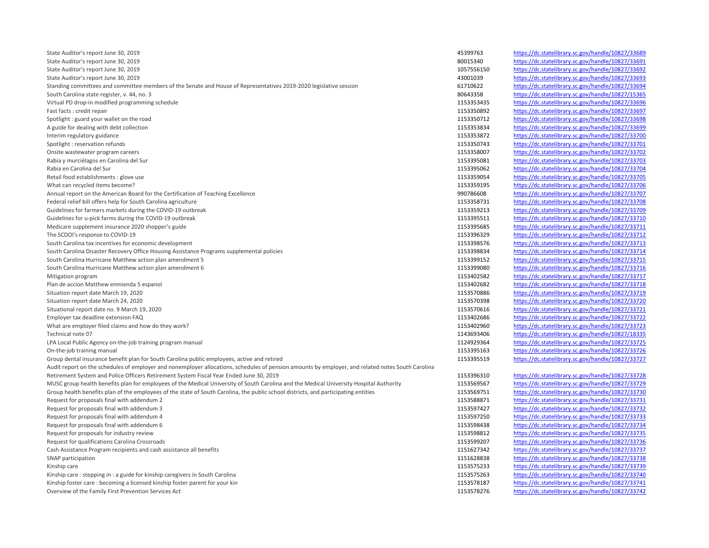State Auditor's report June 30, 2019 **<https://dc.statelibrary.sc.gov/handle/10827/33689> https://dc.statelibrary.sc.gov/handle/10827/33689** State Auditor's report June 30, 2019 80015340 <https://dc.statelibrary.sc.gov/handle/10827/33691> State Auditor's report June 30, 2019 1057556150 <https://dc.statelibrary.sc.gov/handle/10827/33692> State Auditor's report June 30, 2019 43001039 <https://dc.statelibrary.sc.gov/handle/10827/33693> Standing committees and committee members of the Senate and House of Representatives 2019-2020 legislative session 61710622 <https://dc.statelibrary.sc.gov/handle/10827/33694> South Carolina state register, v. 44, no. 3 80642358 <https://dc.statelibrary.sc.gov/handle/10827/15365> Virtual PD drop-in modified programming schedule 11533545 <https://dc.statelibrary.sc.gov/handle/10827/33696> Fast facts : credit repair 1153350892 <https://dc.statelibrary.sc.gov/handle/10827/33697> Spotlight : guard your wallet on the road **1153350712** <https://dc.statelibrary.sc.gov/handle/10827/33698> A guide for dealing with debt collection and the state of the state of the state of the state of the state of the state of the state ibrary.sc.gov/handle/10827/33699 Interim regulatory guidance 1153353872 <https://dc.statelibrary.sc.gov/handle/10827/33700> Spotlight: reservation refunds 1153250743 <https://dc.statelibrary.sc.gov/handle/10827/33701> Onsite wastewater program careers **1153358007** <https://dc.statelibrary.sc.gov/handle/10827/33702> Rabia y murciélagos en Carolina del Sur 1153395081 <https://dc.statelibrary.sc.gov/handle/10827/33703> Rabia en Carolina del Sur *<https://dc.statelibrary.sc.gov/handle/10827/33704>* https://dc.statelibrary.sc.gov/handle/10827/33704 Retail food establishments : glove use extending the state of the state of the state of the state of the state of the state of the state of the state of the state of the state of the state of the state of the state of the What can recycled items become? **1153359195** <https://dc.statelibrary.sc.gov/handle/10827/33706> Annual report on the American Board for the Certification of Teaching Excellence **<https://dc.statelibrary.sc.gov/handle/10827/33707>** Federal relief bill offers help for South Carolina agriculture 1153358731 <https://dc.statelibrary.sc.gov/handle/10827/33708> Guidelines for farmers markets during the COVID-19 outbreak 1153359213 <https://dc.statelibrary.sc.gov/handle/10827/33709> Guidelines for u-pick farms during the COVID-19 outbreak 1153395511 <https://dc.statelibrary.sc.gov/handle/10827/33710> Medicare supplement insurance 2020 shopper's guide 1153395685 <https://dc.statelibrary.sc.gov/handle/10827/33711> The SCDOI's response to COVID-19 **<https://dc.statelibrary.sc.gov/handle/10827/33712> https://dc.statelibrary.sc.gov/handle/10827/33712** South Carolina tax incentives for economic development and the state of the statelight of the statelibrary.sc.gov/handle/10827/33713 South Carolina Disaster Recovery Office Housing Assistance Programs supplemental policies 1153398834 <https://dc.statelibrary.sc.gov/handle/10827/33714> South Carolina Hurricane Matthew action plan amendment 5 1153399152 <https://dc.statelibrary.sc.gov/handle/10827/33715> South Carolina Hurricane Matthew action plan amendment 6 1153399080 <https://dc.statelibrary.sc.gov/handle/10827/33716> Mitigation program 1153402582 <https://dc.statelibrary.sc.gov/handle/10827/33717> Plan de accion Matthew enmienda 5 espanol 1153402682 <https://dc.statelibrary.sc.gov/handle/10827/33718> Situation report date March 19, 2020 **<https://dc.statelibrary.sc.gov/handle/10827/33719> https://dc.statelibrary.sc.gov/handle/10827/33719** Situation report date March 24, 2020 1153570398 <https://dc.statelibrary.sc.gov/handle/10827/33720> Situational report date no. 9 March 19, 2020 **1153570616** <https://dc.statelibrary.sc.gov/handle/10827/33721> Employer tax deadline extension FAQ 1153402686 <https://dc.statelibrary.sc.gov/handle/10827/33722> What are employer filed claims and how do they work? 1153402960 <https://dc.statelibrary.sc.gov/handle/10827/33723> Technical note 07 1143693406 <https://dc.statelibrary.sc.gov/handle/10827/18335> LPA Local Public Agency on-the-job training program manual 1124929364 <https://dc.statelibrary.sc.gov/handle/10827/33725> On-the-job training manual 1153395163 <https://dc.statelibrary.sc.gov/handle/10827/33726> Group dental insurance benefit plan for South Carolina public employees, active and retired and the statelibrary.sc.gov/handle/10827/33727 Audit report on the schedules of employer and nonemployer allocations, schedules of pension amounts by employer, and related notes South Carolina Retirement System and Police Officers Retirement System Fiscal Year Ended June 30, 2019 **<https://dc.statelibrary.sc.gov/handle/10827/33728>** https://dc.statelibrary.sc.gov/handle/10827/33728 MUSC group health benefits plan for employees of the Medical University of South Carolina and the Medical University Hospital Authority 1153569567 <https://dc.statelibrary.sc.gov/handle/10827/33729> https://dc.statelibrary.s Group health benefits plan of the employees of the state of South Carolina, the public school districts, and participating entities 1153569751 https://dc. Request for proposals final with addendum 2 1153588871 <https://dc.statelibrary.sc.gov/handle/10827/33731> https://dc.statelibrary.sc.gov/handle/10827/33731 Request for proposals final with addendum 3 **1153597427** <https://dc.statelibrary.sc.gov/handle/10827/33732> Request for proposals final with addendum 4 1153597250 <https://dc.statelibrary.sc.gov/handle/10827/33733> Request for proposals final with addendum 6 1153598438 <https://dc.statelibrary.sc.gov/handle/10827/33734> Request for proposals for industry review 1153598812 <https://dc.statelibrary.sc.gov/handle/10827/33735><br>Request for qualifications Carolina Crossroads and the state of the state of the state of the state intros://dc.stateli Request for qualifications Carolina Crossroads 1153599207 <https://dc.statelibrary.sc.gov/handle/10827/33736>99207 Cash Assistance Program recipients and cash assistance all benefits 1151627342 <https://dc.statelibrary.sc.gov/handle/10827/33737> SNAP participation 1151628838 <https://dc.statelibrary.sc.gov/handle/10827/33738> Kinship care 1153575233 <https://dc.statelibrary.sc.gov/handle/10827/33739> Kinship care : stepping in : a guide for kinship caregivers in South Carolina 1153575263 <https://dc.statelibrary.sc.gov/handle/10827/33740> Kinship foster care : becoming a licensed kinship foster parent for your kin 1153578187 <https://dc.statelibrary.sc.gov/handle/10827/33741> Overview of the Family First Prevention Services Act 2008 and 2008 and 2008 and 2008 and 2008 and 2008 and 2008 and 2008 and 2008 and 2008 and 2008 and 2008 and 2008 and 2008 and 2008 and 2008 and 2008 and 2008 and 2008 an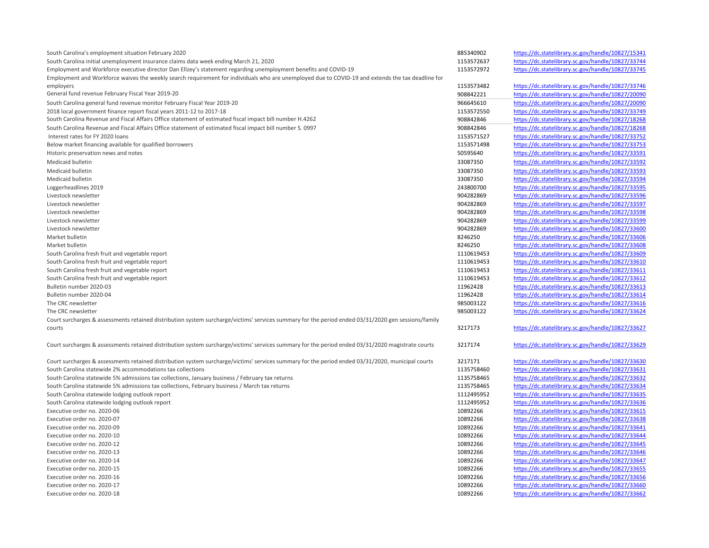| South Carolina's employment situation February 2020                                                                                                 | 885340902              | https://dc.statelibrary.sc.gov/handle/10827/15341 |
|-----------------------------------------------------------------------------------------------------------------------------------------------------|------------------------|---------------------------------------------------|
| South Carolina initial unemployment insurance claims data week ending March 21, 2020                                                                | 1153572637             | https://dc.statelibrary.sc.gov/handle/10827/33744 |
| Employment and Workforce executive director Dan Ellzey's statement regarding unemployment benefits and COVID-19                                     | 1153572972             | https://dc.statelibrary.sc.gov/handle/10827/33745 |
| Employment and Workforce waives the weekly search requirement for individuals who are unemployed due to COVID-19 and extends the tax deadline for   |                        |                                                   |
| employers                                                                                                                                           | 1153573482             | https://dc.statelibrary.sc.gov/handle/10827/33746 |
| General fund revenue February Fiscal Year 2019-20                                                                                                   | 908842221              | https://dc.statelibrary.sc.gov/handle/10827/20090 |
| South Carolina general fund revenue monitor February Fiscal Year 2019-20                                                                            | 966645610              | https://dc.statelibrary.sc.gov/handle/10827/20090 |
| 2018 local government finance report fiscal years 2011-12 to 2017-18                                                                                | 1153572550             | https://dc.statelibrary.sc.gov/handle/10827/33749 |
| South Carolina Revenue and Fiscal Affairs Office statement of estimated fiscal impact bill number H.4262                                            |                        | https://dc.statelibrary.sc.gov/handle/10827/18268 |
| South Carolina Revenue and Fiscal Affairs Office statement of estimated fiscal impact bill number S. 0997                                           | 908842846<br>908842846 | https://dc.statelibrary.sc.gov/handle/10827/18268 |
|                                                                                                                                                     |                        |                                                   |
| Interest rates for FY 2020 loans                                                                                                                    | 1153571527             | https://dc.statelibrary.sc.gov/handle/10827/33752 |
| Below market financing available for qualified borrowers                                                                                            | 1153571498             | https://dc.statelibrary.sc.gov/handle/10827/33753 |
| Historic preservation news and notes                                                                                                                | 50595640               | https://dc.statelibrary.sc.gov/handle/10827/33591 |
| Medicaid bulletin                                                                                                                                   | 33087350               | https://dc.statelibrary.sc.gov/handle/10827/33592 |
| Medicaid bulletin                                                                                                                                   | 33087350               | https://dc.statelibrary.sc.gov/handle/10827/33593 |
| Medicaid bulletin                                                                                                                                   | 33087350               | https://dc.statelibrary.sc.gov/handle/10827/33594 |
| Loggerheadlines 2019                                                                                                                                | 243800700              | https://dc.statelibrary.sc.gov/handle/10827/33595 |
| Livestock newsletter                                                                                                                                | 904282869              | https://dc.statelibrary.sc.gov/handle/10827/33596 |
| Livestock newsletter                                                                                                                                | 904282869              | https://dc.statelibrary.sc.gov/handle/10827/33597 |
| Livestock newsletter                                                                                                                                | 904282869              | https://dc.statelibrary.sc.gov/handle/10827/33598 |
| Livestock newsletter                                                                                                                                | 904282869              | https://dc.statelibrary.sc.gov/handle/10827/33599 |
| Livestock newsletter                                                                                                                                | 904282869              | https://dc.statelibrary.sc.gov/handle/10827/33600 |
| Market bulletin                                                                                                                                     | 8246250                | https://dc.statelibrary.sc.gov/handle/10827/33606 |
| Market bulletin                                                                                                                                     | 8246250                | https://dc.statelibrary.sc.gov/handle/10827/33608 |
| South Carolina fresh fruit and vegetable report                                                                                                     | 1110619453             | https://dc.statelibrary.sc.gov/handle/10827/33609 |
| South Carolina fresh fruit and vegetable report                                                                                                     | 1110619453             | https://dc.statelibrary.sc.gov/handle/10827/33610 |
| South Carolina fresh fruit and vegetable report                                                                                                     | 1110619453             | https://dc.statelibrary.sc.gov/handle/10827/33611 |
| South Carolina fresh fruit and vegetable report                                                                                                     | 1110619453             | https://dc.statelibrary.sc.gov/handle/10827/33612 |
| Bulletin number 2020-03                                                                                                                             | 11962428               | https://dc.statelibrary.sc.gov/handle/10827/33613 |
| Bulletin number 2020-04                                                                                                                             | 11962428               | https://dc.statelibrary.sc.gov/handle/10827/33614 |
| The CRC newsletter                                                                                                                                  | 985003122              | https://dc.statelibrary.sc.gov/handle/10827/33616 |
| The CRC newsletter                                                                                                                                  | 985003122              | https://dc.statelibrary.sc.gov/handle/10827/33624 |
| Court surcharges & assessments retained distribution system surcharge/victims' services summary for the period ended 03/31/2020 gen sessions/family |                        |                                                   |
| courts                                                                                                                                              | 3217173                | https://dc.statelibrary.sc.gov/handle/10827/33627 |
| Court surcharges & assessments retained distribution system surcharge/victims' services summary for the period ended 03/31/2020 magistrate courts   | 3217174                | https://dc.statelibrary.sc.gov/handle/10827/33629 |
| Court surcharges & assessments retained distribution system surcharge/victims' services summary for the period ended 03/31/2020, municipal courts   | 3217171                | https://dc.statelibrary.sc.gov/handle/10827/33630 |
| South Carolina statewide 2% accommodations tax collections                                                                                          | 1135758460             | https://dc.statelibrary.sc.gov/handle/10827/33631 |
| South Carolina statewide 5% admissions tax collections, January business / February tax returns                                                     | 1135758465             | https://dc.statelibrary.sc.gov/handle/10827/33632 |
| South Carolina statewide 5% admissions tax collections, February business / March tax returns                                                       | 1135758465             | https://dc.statelibrary.sc.gov/handle/10827/33634 |
| South Carolina statewide lodging outlook report                                                                                                     | 1112495952             | https://dc.statelibrary.sc.gov/handle/10827/33635 |
| South Carolina statewide lodging outlook report                                                                                                     | 1112495952             | https://dc.statelibrary.sc.gov/handle/10827/33636 |
| Executive order no. 2020-06                                                                                                                         | 10892266               | https://dc.statelibrary.sc.gov/handle/10827/33615 |
| Executive order no. 2020-07                                                                                                                         | 10892266               | https://dc.statelibrary.sc.gov/handle/10827/33638 |
| Executive order no. 2020-09                                                                                                                         | 10892266               | https://dc.statelibrary.sc.gov/handle/10827/33641 |
| Executive order no. 2020-10                                                                                                                         | 10892266               | https://dc.statelibrary.sc.gov/handle/10827/33644 |
| Executive order no. 2020-12                                                                                                                         | 10892266               | https://dc.statelibrary.sc.gov/handle/10827/33645 |
| Executive order no. 2020-13                                                                                                                         | 10892266               | https://dc.statelibrary.sc.gov/handle/10827/33646 |
| Executive order no. 2020-14                                                                                                                         | 10892266               | https://dc.statelibrary.sc.gov/handle/10827/33647 |
| Executive order no. 2020-15                                                                                                                         | 10892266               | https://dc.statelibrary.sc.gov/handle/10827/33655 |
| Executive order no. 2020-16                                                                                                                         | 10892266               | https://dc.statelibrary.sc.gov/handle/10827/33656 |
| Executive order no. 2020-17                                                                                                                         | 10892266               | https://dc.statelibrary.sc.gov/handle/10827/33660 |
| Executive order no. 2020-18                                                                                                                         | 10892266               | https://dc.statelibrary.sc.gov/handle/10827/33662 |
|                                                                                                                                                     |                        |                                                   |